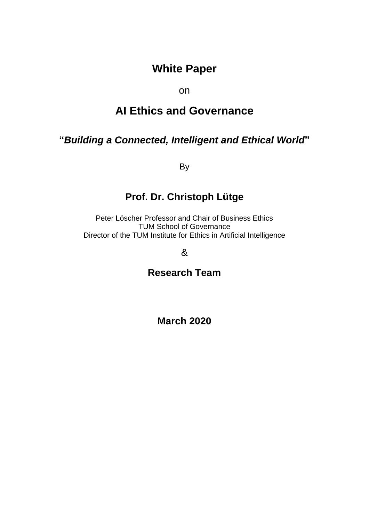# **White Paper**

on

# **AI Ethics and Governance**

# **"***Building a Connected, Intelligent and Ethical World***"**

By

# **Prof. Dr. Christoph Lütge**

Peter Löscher Professor and Chair of Business Ethics TUM School of Governance Director of the TUM Institute for Ethics in Artificial Intelligence

&

**Research Team**

**March 2020**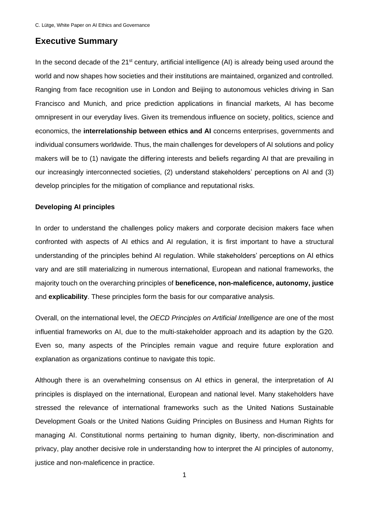# **Executive Summary**

In the second decade of the 21<sup>st</sup> century, artificial intelligence (AI) is already being used around the world and now shapes how societies and their institutions are maintained, organized and controlled. Ranging from face recognition use in London and Beijing to autonomous vehicles driving in San Francisco and Munich, and price prediction applications in financial markets, AI has become omnipresent in our everyday lives. Given its tremendous influence on society, politics, science and economics, the **interrelationship between ethics and AI** concerns enterprises, governments and individual consumers worldwide. Thus, the main challenges for developers of AI solutions and policy makers will be to (1) navigate the differing interests and beliefs regarding AI that are prevailing in our increasingly interconnected societies, (2) understand stakeholders' perceptions on AI and (3) develop principles for the mitigation of compliance and reputational risks.

#### **Developing AI principles**

In order to understand the challenges policy makers and corporate decision makers face when confronted with aspects of AI ethics and AI regulation, it is first important to have a structural understanding of the principles behind AI regulation. While stakeholders' perceptions on AI ethics vary and are still materializing in numerous international, European and national frameworks, the majority touch on the overarching principles of **beneficence, non-maleficence, autonomy, justice**  and **explicability**. These principles form the basis for our comparative analysis.

Overall, on the international level, the *OECD Principles on Artificial Intelligence* are one of the most influential frameworks on AI, due to the multi-stakeholder approach and its adaption by the G20. Even so, many aspects of the Principles remain vague and require future exploration and explanation as organizations continue to navigate this topic.

Although there is an overwhelming consensus on AI ethics in general, the interpretation of AI principles is displayed on the international, European and national level. Many stakeholders have stressed the relevance of international frameworks such as the United Nations Sustainable Development Goals or the United Nations Guiding Principles on Business and Human Rights for managing AI. Constitutional norms pertaining to human dignity, liberty, non-discrimination and privacy, play another decisive role in understanding how to interpret the AI principles of autonomy, justice and non-maleficence in practice.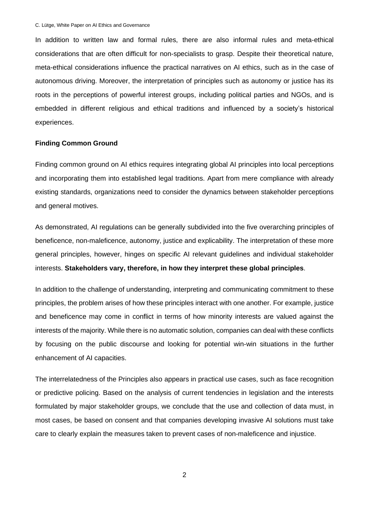In addition to written law and formal rules, there are also informal rules and meta-ethical considerations that are often difficult for non-specialists to grasp. Despite their theoretical nature, meta-ethical considerations influence the practical narratives on AI ethics, such as in the case of autonomous driving. Moreover, the interpretation of principles such as autonomy or justice has its roots in the perceptions of powerful interest groups, including political parties and NGOs, and is embedded in different religious and ethical traditions and influenced by a society's historical experiences.

#### **Finding Common Ground**

Finding common ground on AI ethics requires integrating global AI principles into local perceptions and incorporating them into established legal traditions. Apart from mere compliance with already existing standards, organizations need to consider the dynamics between stakeholder perceptions and general motives.

As demonstrated, AI regulations can be generally subdivided into the five overarching principles of beneficence, non-maleficence, autonomy, justice and explicability. The interpretation of these more general principles, however, hinges on specific AI relevant guidelines and individual stakeholder interests. **Stakeholders vary, therefore, in how they interpret these global principles**.

In addition to the challenge of understanding, interpreting and communicating commitment to these principles, the problem arises of how these principles interact with one another. For example, justice and beneficence may come in conflict in terms of how minority interests are valued against the interests of the majority. While there is no automatic solution, companies can deal with these conflicts by focusing on the public discourse and looking for potential win-win situations in the further enhancement of AI capacities.

The interrelatedness of the Principles also appears in practical use cases, such as face recognition or predictive policing. Based on the analysis of current tendencies in legislation and the interests formulated by major stakeholder groups, we conclude that the use and collection of data must, in most cases, be based on consent and that companies developing invasive AI solutions must take care to clearly explain the measures taken to prevent cases of non-maleficence and injustice.

2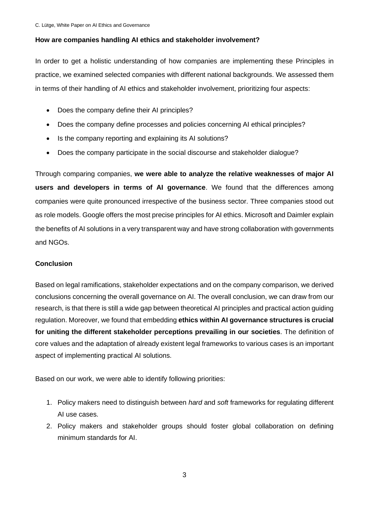#### **How are companies handling AI ethics and stakeholder involvement?**

In order to get a holistic understanding of how companies are implementing these Principles in practice, we examined selected companies with different national backgrounds. We assessed them in terms of their handling of AI ethics and stakeholder involvement, prioritizing four aspects:

- Does the company define their AI principles?
- Does the company define processes and policies concerning AI ethical principles?
- Is the company reporting and explaining its AI solutions?
- Does the company participate in the social discourse and stakeholder dialogue?

Through comparing companies, **we were able to analyze the relative weaknesses of major AI users and developers in terms of AI governance**. We found that the differences among companies were quite pronounced irrespective of the business sector. Three companies stood out as role models. Google offers the most precise principles for AI ethics. Microsoft and Daimler explain the benefits of AI solutions in a very transparent way and have strong collaboration with governments and NGOs.

#### **Conclusion**

Based on legal ramifications, stakeholder expectations and on the company comparison, we derived conclusions concerning the overall governance on AI. The overall conclusion, we can draw from our research, is that there is still a wide gap between theoretical AI principles and practical action guiding regulation. Moreover, we found that embedding **ethics within AI governance structures is crucial for uniting the different stakeholder perceptions prevailing in our societies**. The definition of core values and the adaptation of already existent legal frameworks to various cases is an important aspect of implementing practical AI solutions.

Based on our work, we were able to identify following priorities:

- 1. Policy makers need to distinguish between *hard* and *soft* frameworks for regulating different AI use cases.
- 2. Policy makers and stakeholder groups should foster global collaboration on defining minimum standards for AI.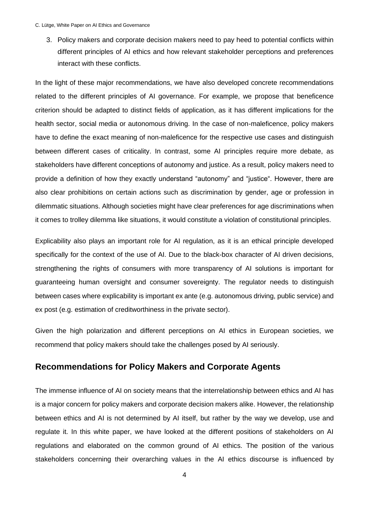3. Policy makers and corporate decision makers need to pay heed to potential conflicts within different principles of AI ethics and how relevant stakeholder perceptions and preferences interact with these conflicts.

In the light of these major recommendations, we have also developed concrete recommendations related to the different principles of AI governance. For example, we propose that beneficence criterion should be adapted to distinct fields of application, as it has different implications for the health sector, social media or autonomous driving. In the case of non-maleficence, policy makers have to define the exact meaning of non-maleficence for the respective use cases and distinguish between different cases of criticality. In contrast, some AI principles require more debate, as stakeholders have different conceptions of autonomy and justice. As a result, policy makers need to provide a definition of how they exactly understand "autonomy" and "justice". However, there are also clear prohibitions on certain actions such as discrimination by gender, age or profession in dilemmatic situations. Although societies might have clear preferences for age discriminations when it comes to trolley dilemma like situations, it would constitute a violation of constitutional principles.

Explicability also plays an important role for AI regulation, as it is an ethical principle developed specifically for the context of the use of AI. Due to the black-box character of AI driven decisions, strengthening the rights of consumers with more transparency of AI solutions is important for guaranteeing human oversight and consumer sovereignty. The regulator needs to distinguish between cases where explicability is important ex ante (e.g. autonomous driving, public service) and ex post (e.g. estimation of creditworthiness in the private sector).

Given the high polarization and different perceptions on AI ethics in European societies, we recommend that policy makers should take the challenges posed by AI seriously.

# **Recommendations for Policy Makers and Corporate Agents**

The immense influence of AI on society means that the interrelationship between ethics and AI has is a major concern for policy makers and corporate decision makers alike. However, the relationship between ethics and AI is not determined by AI itself, but rather by the way we develop, use and regulate it. In this white paper, we have looked at the different positions of stakeholders on AI regulations and elaborated on the common ground of AI ethics. The position of the various stakeholders concerning their overarching values in the AI ethics discourse is influenced by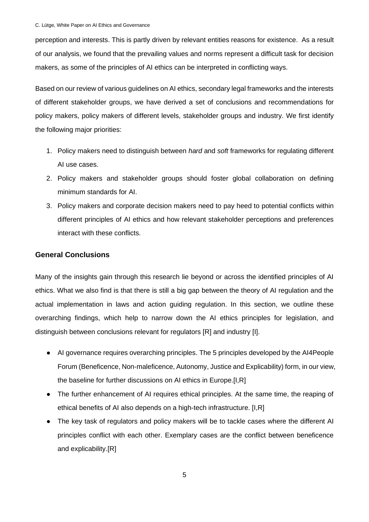perception and interests. This is partly driven by relevant entities reasons for existence. As a result of our analysis, we found that the prevailing values and norms represent a difficult task for decision makers, as some of the principles of AI ethics can be interpreted in conflicting ways.

Based on our review of various guidelines on AI ethics, secondary legal frameworks and the interests of different stakeholder groups, we have derived a set of conclusions and recommendations for policy makers, policy makers of different levels, stakeholder groups and industry. We first identify the following major priorities:

- 1. Policy makers need to distinguish between *hard* and *soft* frameworks for regulating different AI use cases.
- 2. Policy makers and stakeholder groups should foster global collaboration on defining minimum standards for AI.
- 3. Policy makers and corporate decision makers need to pay heed to potential conflicts within different principles of AI ethics and how relevant stakeholder perceptions and preferences interact with these conflicts.

#### **General Conclusions**

Many of the insights gain through this research lie beyond or across the identified principles of AI ethics. What we also find is that there is still a big gap between the theory of AI regulation and the actual implementation in laws and action guiding regulation. In this section, we outline these overarching findings, which help to narrow down the AI ethics principles for legislation, and distinguish between conclusions relevant for regulators [R] and industry [I].

- AI governance requires overarching principles. The 5 principles developed by the AI4People Forum (Beneficence, Non-maleficence, Autonomy, Justice and Explicability) form, in our view, the baseline for further discussions on AI ethics in Europe.[I,R]
- The further enhancement of AI requires ethical principles. At the same time, the reaping of ethical benefits of AI also depends on a high-tech infrastructure. [I,R]
- The key task of regulators and policy makers will be to tackle cases where the different AI principles conflict with each other. Exemplary cases are the conflict between beneficence and explicability.[R]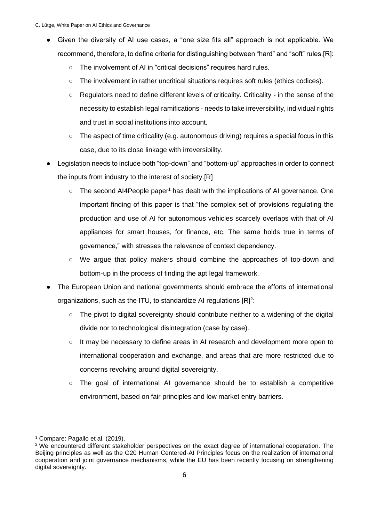- Given the diversity of AI use cases, a "one size fits all" approach is not applicable. We recommend, therefore, to define criteria for distinguishing between "hard" and "soft" rules.[R]:
	- The involvement of AI in "critical decisions" requires hard rules.
	- The involvement in rather uncritical situations requires soft rules (ethics codices).
	- Regulators need to define different levels of criticality. Criticality in the sense of the necessity to establish legal ramifications - needs to take irreversibility, individual rights and trust in social institutions into account.
	- $\circ$  The aspect of time criticality (e.g. autonomous driving) requires a special focus in this case, due to its close linkage with irreversibility.
- Legislation needs to include both "top-down" and "bottom-up" approaches in order to connect the inputs from industry to the interest of society.[R]
	- The second AI4People paper<sup>1</sup> has dealt with the implications of AI governance. One important finding of this paper is that "the complex set of provisions regulating the production and use of AI for autonomous vehicles scarcely overlaps with that of AI appliances for smart houses, for finance, etc. The same holds true in terms of governance," with stresses the relevance of context dependency.
	- We argue that policy makers should combine the approaches of top-down and bottom-up in the process of finding the apt legal framework.
- The European Union and national governments should embrace the efforts of international organizations, such as the ITU, to standardize AI regulations  $[R]^2$ :
	- $\circ$  The pivot to digital sovereignty should contribute neither to a widening of the digital divide nor to technological disintegration (case by case).
	- It may be necessary to define areas in AI research and development more open to international cooperation and exchange, and areas that are more restricted due to concerns revolving around digital sovereignty.
	- The goal of international AI governance should be to establish a competitive environment, based on fair principles and low market entry barriers.

<sup>1</sup> Compare: Pagallo et al. (2019).

<sup>2</sup> We encountered different stakeholder perspectives on the exact degree of international cooperation. The Beijing principles as well as the G20 Human Centered-AI Principles focus on the realization of international cooperation and joint governance mechanisms, while the EU has been recently focusing on strengthening digital sovereignty.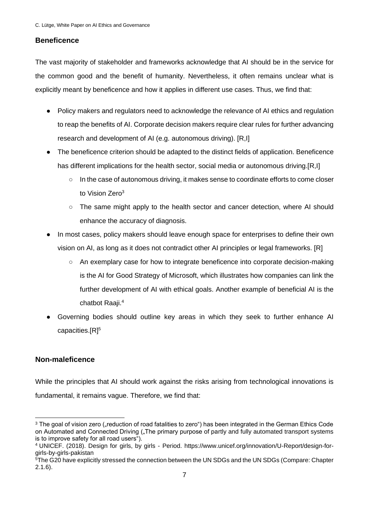### **Beneficence**

The vast majority of stakeholder and frameworks acknowledge that AI should be in the service for the common good and the benefit of humanity. Nevertheless, it often remains unclear what is explicitly meant by beneficence and how it applies in different use cases. Thus, we find that:

- Policy makers and regulators need to acknowledge the relevance of AI ethics and regulation to reap the benefits of AI. Corporate decision makers require clear rules for further advancing research and development of AI (e.g. autonomous driving). [R,I]
- The beneficence criterion should be adapted to the distinct fields of application. Beneficence has different implications for the health sector, social media or autonomous driving.[R,I]
	- In the case of autonomous driving, it makes sense to coordinate efforts to come closer to Vision Zero<sup>3</sup>
	- The same might apply to the health sector and cancer detection, where AI should enhance the accuracy of diagnosis.
- In most cases, policy makers should leave enough space for enterprises to define their own vision on AI, as long as it does not contradict other AI principles or legal frameworks. [R]
	- An exemplary case for how to integrate beneficence into corporate decision-making is the AI for Good Strategy of Microsoft, which illustrates how companies can link the further development of AI with ethical goals. Another example of beneficial AI is the chatbot Raaji.<sup>4</sup>
- Governing bodies should outline key areas in which they seek to further enhance AI capacities.[R]<sup>5</sup>

### **Non-maleficence**

While the principles that AI should work against the risks arising from technological innovations is fundamental, it remains vague. Therefore, we find that:

<sup>&</sup>lt;sup>3</sup> The goal of vision zero ("reduction of road fatalities to zero") has been integrated in the German Ethics Code on Automated and Connected Driving ("The primary purpose of partly and fully automated transport systems is to improve safety for all road users").

<sup>4</sup> UNICEF. (2018). Design for girls, by girls - Period. https://www.unicef.org/innovation/U-Report/design-forgirls-by-girls-pakistan

 $\overline{5}$ The G20 have explicitly stressed the connection between the UN SDGs and the UN SDGs (Compare: Chapter 2.1.6).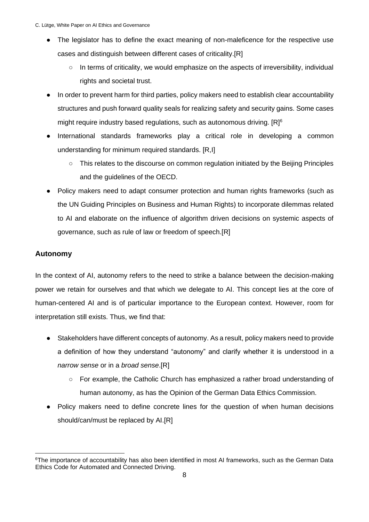- The legislator has to define the exact meaning of non-maleficence for the respective use cases and distinguish between different cases of criticality.[R]
	- In terms of criticality, we would emphasize on the aspects of irreversibility, individual rights and societal trust.
- In order to prevent harm for third parties, policy makers need to establish clear accountability structures and push forward quality seals for realizing safety and security gains. Some cases might require industry based regulations, such as autonomous driving. [R]<sup>6</sup>
- International standards frameworks play a critical role in developing a common understanding for minimum required standards. [R,I]
	- This relates to the discourse on common regulation initiated by the Beijing Principles and the guidelines of the OECD.
- Policy makers need to adapt consumer protection and human rights frameworks (such as the UN Guiding Principles on Business and Human Rights) to incorporate dilemmas related to AI and elaborate on the influence of algorithm driven decisions on systemic aspects of governance, such as rule of law or freedom of speech.[R]

# **Autonomy**

In the context of AI, autonomy refers to the need to strike a balance between the decision-making power we retain for ourselves and that which we delegate to AI. This concept lies at the core of human-centered AI and is of particular importance to the European context. However, room for interpretation still exists. Thus, we find that:

- Stakeholders have different concepts of autonomy. As a result, policy makers need to provide a definition of how they understand "autonomy" and clarify whether it is understood in a *narrow sense* or in a *broad sense*.[R]
	- For example, the Catholic Church has emphasized a rather broad understanding of human autonomy, as has the Opinion of the German Data Ethics Commission.
- Policy makers need to define concrete lines for the question of when human decisions should/can/must be replaced by AI.[R]

<sup>6</sup>The importance of accountability has also been identified in most AI frameworks, such as the German Data Ethics Code for Automated and Connected Driving.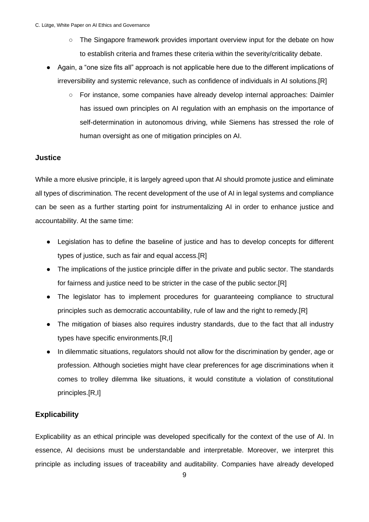- The Singapore framework provides important overview input for the debate on how to establish criteria and frames these criteria within the severity/criticality debate.
- Again, a "one size fits all" approach is not applicable here due to the different implications of irreversibility and systemic relevance, such as confidence of individuals in AI solutions.[R]
	- For instance, some companies have already develop internal approaches: Daimler has issued own principles on AI regulation with an emphasis on the importance of self-determination in autonomous driving, while Siemens has stressed the role of human oversight as one of mitigation principles on AI.

#### **Justice**

While a more elusive principle, it is largely agreed upon that AI should promote justice and eliminate all types of discrimination. The recent development of the use of AI in legal systems and compliance can be seen as a further starting point for instrumentalizing AI in order to enhance justice and accountability. At the same time:

- Legislation has to define the baseline of justice and has to develop concepts for different types of justice, such as fair and equal access.[R]
- The implications of the justice principle differ in the private and public sector. The standards for fairness and justice need to be stricter in the case of the public sector.[R]
- The legislator has to implement procedures for guaranteeing compliance to structural principles such as democratic accountability, rule of law and the right to remedy.[R]
- The mitigation of biases also requires industry standards, due to the fact that all industry types have specific environments.[R,I]
- In dilemmatic situations, regulators should not allow for the discrimination by gender, age or profession. Although societies might have clear preferences for age discriminations when it comes to trolley dilemma like situations, it would constitute a violation of constitutional principles.[R,I]

### **Explicability**

Explicability as an ethical principle was developed specifically for the context of the use of AI. In essence, AI decisions must be understandable and interpretable. Moreover, we interpret this principle as including issues of traceability and auditability. Companies have already developed